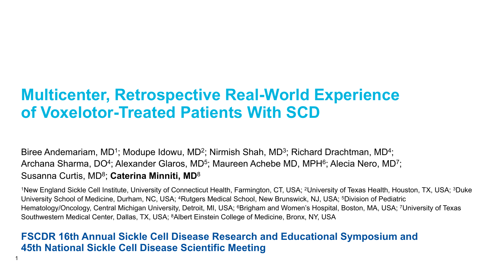## **Multicenter, Retrospective Real-World Experience of Voxelotor-Treated Patients With SCD**

Biree Andemariam, MD<sup>1</sup>; Modupe Idowu, MD<sup>2</sup>; Nirmish Shah, MD<sup>3</sup>; Richard Drachtman, MD<sup>4</sup>; Archana Sharma, DO<sup>4</sup>; Alexander Glaros, MD<sup>5</sup>; Maureen Achebe MD, MPH<sup>6</sup>; Alecia Nero, MD<sup>7</sup>; Susanna Curtis, MD8; **Caterina Minniti, MD**<sup>8</sup>

<sup>1</sup>New England Sickle Cell Institute, University of Connecticut Health, Farmington, CT, USA; <sup>2</sup>University of Texas Health, Houston, TX, USA; <sup>3</sup>Duke University School of Medicine, Durham, NC, USA; 4Rutgers Medical School, New Brunswick, NJ, USA; 5Division of Pediatric Hematology/Oncology, Central Michigan University, Detroit, MI, USA; <sup>6</sup>Brigham and Women's Hospital, Boston, MA, USA; <sup>7</sup>University of Texas Southwestern Medical Center, Dallas, TX, USA; 8Albert Einstein College of Medicine, Bronx, NY, USA

#### **FSCDR 16th Annual Sickle Cell Disease Research and Educational Symposium and 45th National Sickle Cell Disease Scientific Meeting**

1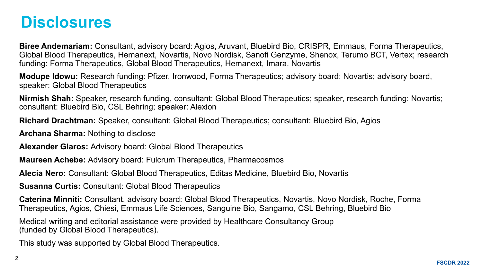#### **Disclosures**

**Biree Andemariam:** Consultant, advisory board: Agios, Aruvant, Bluebird Bio, CRISPR, Emmaus, Forma Therapeutics, Global Blood Therapeutics, Hemanext, Novartis, Novo Nordisk, Sanofi Genzyme, Shenox, Terumo BCT, Vertex; research funding: Forma Therapeutics, Global Blood Therapeutics, Hemanext, Imara, Novartis

**Modupe Idowu:** Research funding: Pfizer, Ironwood, Forma Therapeutics; advisory board: Novartis; advisory board, speaker: Global Blood Therapeutics

**Nirmish Shah:** Speaker, research funding, consultant: Global Blood Therapeutics; speaker, research funding: Novartis; consultant: Bluebird Bio, CSL Behring; speaker: Alexion

**Richard Drachtman:** Speaker, consultant: Global Blood Therapeutics; consultant: Bluebird Bio, Agios

**Archana Sharma:** Nothing to disclose

**Alexander Glaros:** Advisory board: Global Blood Therapeutics

**Maureen Achebe:** Advisory board: Fulcrum Therapeutics, Pharmacosmos

**Alecia Nero:** Consultant: Global Blood Therapeutics, Editas Medicine, Bluebird Bio, Novartis

**Susanna Curtis:** Consultant: Global Blood Therapeutics

**Caterina Minniti:** Consultant, advisory board: Global Blood Therapeutics, Novartis, Novo Nordisk, Roche, Forma Therapeutics, Agios, Chiesi, Emmaus Life Sciences, Sanguine Bio, Sangamo, CSL Behring, Bluebird Bio

Medical writing and editorial assistance were provided by Healthcare Consultancy Group (funded by Global Blood Therapeutics).

This study was supported by Global Blood Therapeutics.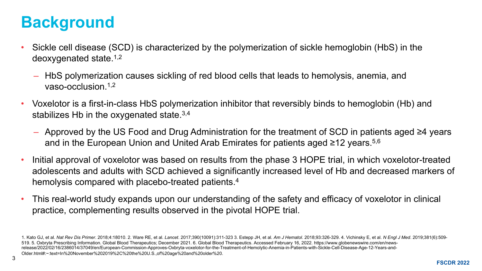# **Background**

- Sickle cell disease (SCD) is characterized by the polymerization of sickle hemoglobin (HbS) in the deoxygenated state.1,2
	- HbS polymerization causes sickling of red blood cells that leads to hemolysis, anemia, and vaso-occlusion.1,2
- Voxelotor is a first-in-class HbS polymerization inhibitor that reversibly binds to hemoglobin (Hb) and stabilizes Hb in the oxygenated state.  $3,4$ 
	- Approved by the US Food and Drug Administration for the treatment of SCD in patients aged ≥4 years and in the European Union and United Arab Emirates for patients aged ≥12 years.<sup>5,6</sup>
- Initial approval of voxelotor was based on results from the phase 3 HOPE trial, in which voxelotor-treated adolescents and adults with SCD achieved a significantly increased level of Hb and decreased markers of hemolysis compared with placebo-treated patients.<sup>4</sup>
- This real-world study expands upon our understanding of the safety and efficacy of voxelotor in clinical practice, complementing results observed in the pivotal HOPE trial.

<sup>1.</sup> Kato GJ, et al. Nat Rev Dis Primer. 2018;4:18010. 2. Ware RE, et al. Lancet. 2017;390(10091):311-323 3. Estepp JH, et al. Am J Hematol. 2018;93:326-329. 4. Vichinsky E, et al. N Engl J Med. 2019;381(6):509-519. 5. Oxbryta Prescribing Information. Global Blood Therapeutics; December 2021. 6. Global Blood Therapeutics. Accessed February 16, 2022. https://www.globenewswire.com/en/newsrelease/2022/02/16/2386014/37049/en/European-Commission-Approves-Oxbryta-voxelotor-for-the-Treatment-of-Hemolytic-Anemia-in-Patients-with-Sickle-Cell-Disease-Age-12-Years-and-Older.html#:~:text=In%20November%202019%2C%20the%20U.S.,of%20age%20and%20older%20.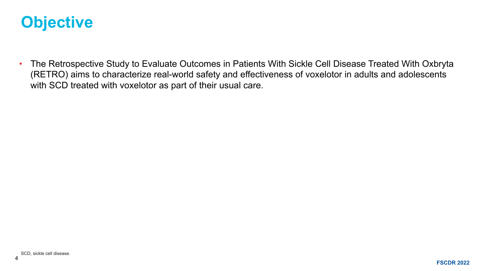#### **Objective**

• The Retrospective Study to Evaluate Outcomes in Patients With Sickle Cell Disease Treated With Oxbryta (RETRO) aims to characterize real-world safety and effectiveness of voxelotor in adults and adolescents with SCD treated with voxelotor as part of their usual care.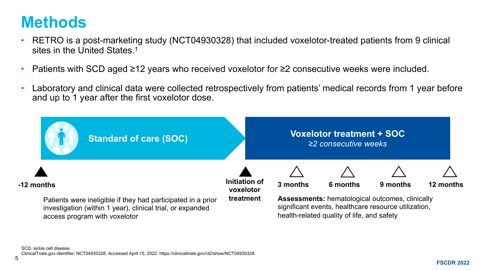#### **Methods**

5

- RETRO is a post-marketing study (NCT04930328) that included voxelotor-treated patients from 9 clinical sites in the United States.<sup>1</sup>
- Patients with SCD aged ≥12 years who received voxelotor for ≥2 consecutive weeks were included.
- Laboratory and clinical data were collected retrospectively from patients' medical records from 1 year before and up to 1 year after the first voxelotor dose.

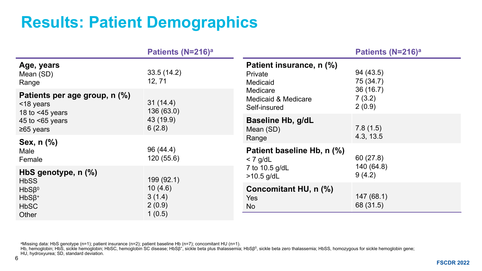# **Results: Patient Demographics**

|                                                                                                                                                         | Patients (N=216) <sup>a</sup>                  |                                                             | Patients (N=216) <sup>a</sup>      |
|---------------------------------------------------------------------------------------------------------------------------------------------------------|------------------------------------------------|-------------------------------------------------------------|------------------------------------|
| Age, years<br>Mean (SD)<br>Range                                                                                                                        | 33.5(14.2)<br>12, 71                           | Patient insurance, n (%)<br>Private<br>Medicaid<br>Medicare | 94 (43.5)<br>75 (34.7)<br>36(16.7) |
| Patients per age group, n (%)<br>31(14.4)<br><18 years<br>136(63.0)<br>18 to $<45$ years<br>43 (19.9)<br>45 to $<65$ years<br>6(2.8)<br>$\geq 65$ years | <b>Medicaid &amp; Medicare</b><br>Self-insured | 7(3.2)<br>2(0.9)                                            |                                    |
|                                                                                                                                                         |                                                | <b>Baseline Hb, g/dL</b><br>Mean (SD)<br>Range              | 7.8(1.5)<br>4.3, 13.5              |
| Sex, $n$ $\left(\% \right)$<br>Male<br>Female                                                                                                           | 96 (44.4)<br>120(55.6)                         | Patient baseline Hb, n (%)<br>$<$ 7 g/dL                    | 60(27.8)                           |
| HbS genotype, n (%)<br>199(92.1)<br><b>HbSS</b><br>10(4.6)<br>$HbS\beta$ <sup>0</sup><br>3(1.4)<br>$HbS\beta^+$<br>2(0.9)<br><b>HbSC</b><br>Other       | 7 to 10.5 g/dL<br>$>10.5$ g/dL                 | 140 (64.8)<br>9(4.2)                                        |                                    |
|                                                                                                                                                         | 1(0.5)                                         | Concomitant HU, n (%)<br><b>Yes</b><br><b>No</b>            | 147(68.1)<br>68 (31.5)             |

aMissing data: HbS genotype (n=1); patient insurance (n=2); patient baseline Hb (n=7); concomitant HU (n=1).

Hb, hemoglobin; HbŠ, sickle hemoglobin; HbSC, hemoglobin SC disease; HbSβ+, sickle beta plus thalassemia; HbSβ<sup>0</sup>, sickle beta zero thalassemia; HbSS, homozygous for sickle hemoglobin gene; HU, hydroxyurea; SD, standard deviation.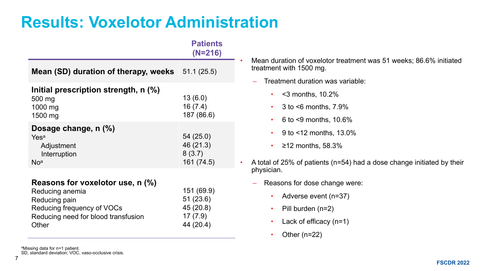## **Results: Voxelotor Administration**

|                                                                                                                                                          | <b>Patients</b><br>$(N=216)$                                 |
|----------------------------------------------------------------------------------------------------------------------------------------------------------|--------------------------------------------------------------|
| <b>Mean (SD) duration of therapy, weeks</b> $51.1(25.5)$                                                                                                 |                                                              |
| Initial prescription strength, n (%)<br>500 mg<br>1000 mg<br>1500 mg                                                                                     | 13(6.0)<br>16(7.4)<br>187 (86.6)                             |
| Dosage change, n (%)<br>Yes <sup>a</sup><br>Adjustment<br>Interruption<br>No <sup>a</sup>                                                                | 54 (25.0)<br>46 (21.3)<br>8(3.7)<br>161 (74.5)               |
| Reasons for voxelotor use, $n \, (\%)$<br>Reducing anemia<br>Reducing pain<br>Reducing frequency of VOCs<br>Reducing need for blood transfusion<br>Other | 151 (69.9)<br>51 (23.6)<br>45 (20.8)<br>17(7.9)<br>44 (20.4) |

• Mean duration of voxelotor treatment was 51 weeks; 86.6% initiated treatment with 1500 mg.

- Treatment duration was variable:
	- $\cdot$  <3 months, 10.2%
	- $\cdot$  3 to  $\leq$ 6 months, 7.9%
	- 6 to <9 months, 10.6%
	- 9 to  $< 12$  months,  $13.0\%$
	- $\geq$  12 months, 58.3%
- A total of 25% of patients (n=54) had a dose change initiated by their physician.
	- Reasons for dose change were:
		- Adverse event (n=37)
		- Pill burden (n=2)
		- Lack of efficacy  $(n=1)$
		- Other  $(n=22)$

aMissing data for n=1 patient.

SD, standard deviation; VOC, vaso-occlusive crisis.

7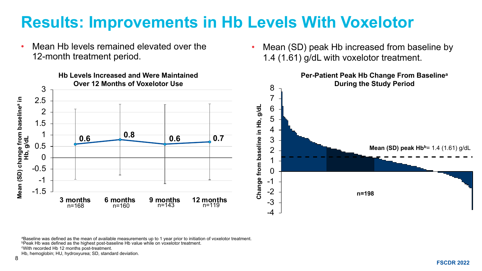# **Results: Improvements in Hb Levels With Voxelotor**

- Mean Hb levels remained elevated over the 12-month treatment period.
- **Hb Levels Increased and Were Maintained Per-Patient Peak Hb Change From Baselinea Over 12 Months of Voxelotor Use During the Study Period** 8 3 7 **Mean (SD) change from baselinea in**  Mean (SD) change from baseline<sup>a</sup> in<br>Hb, g/dL 2.5 Change from baseline in Hb, g/dL **Change from baseline in Hb, g/dL** 6 2 5 1.5 4 1 **0.6 0.8 0.6 0.7** 3 0.5 **Mean (SD) peak Hb<sup>b</sup></u>= 1.4 (1.61) g/dL** 2 0 1 -0.5 0 -1 -1 -1.5 -2 **n=198 3 months 6 months 9 months 12 months** -3 n=168 n=160 n=143 n=119 -4

Mean (SD) peak Hb increased from baseline by

1.4 (1.61) g/dL with voxelotor treatment.

aBaseline was defined as the mean of available measurements up to 1 year prior to initiation of voxelotor treatment. **bPeak Hb was defined as the highest post-baseline Hb value while on voxelotor treatment.** cWith recorded Hb 12 months post-treatment.

Hb, hemoglobin; HU, hydroxyurea; SD, standard deviation.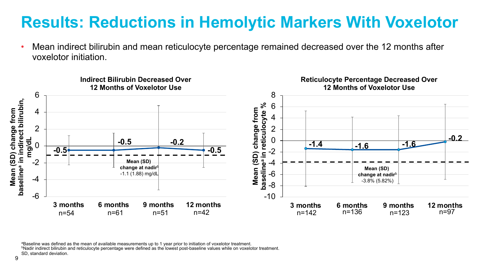### **Results: Reductions in Hemolytic Markers With Voxelotor**

• Mean indirect bilirubin and mean reticulocyte percentage remained decreased over the 12 months after voxelotor initiation.



aBaseline was defined as the mean of available measurements up to 1 year prior to initiation of voxelotor treatment. bNadir indirect bilirubin and reticulocyte percentage were defined as the lowest post-baseline values while on voxelotor treatment.

SD, standard deviation.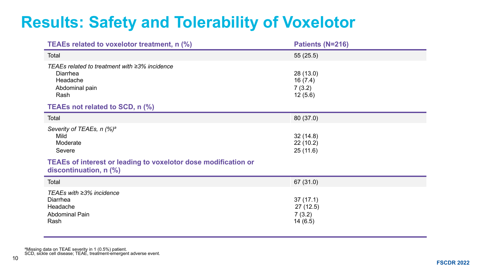# **Results: Safety and Tolerability of Voxelotor**

| TEAEs related to voxelotor treatment, n (%)                                                     | Patients (N=216)                          |
|-------------------------------------------------------------------------------------------------|-------------------------------------------|
| Total                                                                                           | 55(25.5)                                  |
| TEAEs related to treatment with ≥3% incidence<br>Diarrhea<br>Headache<br>Abdominal pain<br>Rash | 28 (13.0)<br>16(7.4)<br>7(3.2)<br>12(5.6) |
| TEAEs not related to SCD, n (%)                                                                 |                                           |
| Total                                                                                           | 80 (37.0)                                 |
| Severity of TEAEs, n (%) <sup>a</sup><br>Mild<br>Moderate<br>Severe                             | 32(14.8)<br>22(10.2)<br>25(11.6)          |
| <b>TEAEs of interest or leading to voxelotor dose modification or</b><br>discontinuation, n (%) |                                           |
| Total                                                                                           | 67 (31.0)                                 |
| TEAEs with ≥3% incidence<br>Diarrhea<br>Headache<br><b>Abdominal Pain</b><br>Rash               | 37(17.1)<br>27(12.5)<br>7(3.2)<br>14(6.5) |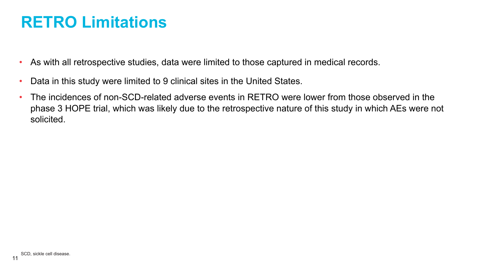## **RETRO Limitations**

- As with all retrospective studies, data were limited to those captured in medical records.
- Data in this study were limited to 9 clinical sites in the United States.
- The incidences of non-SCD-related adverse events in RETRO were lower from those observed in the phase 3 HOPE trial, which was likely due to the retrospective nature of this study in which AEs were not solicited.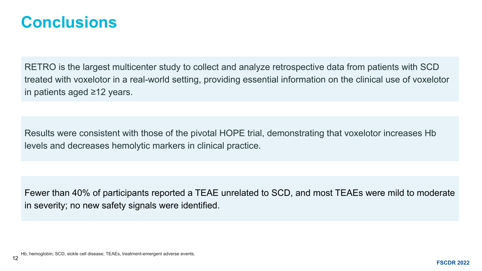#### **Conclusions**

RETRO is the largest multicenter study to collect and analyze retrospective data from patients with SCD treated with voxelotor in a real-world setting, providing essential information on the clinical use of voxelotor in patients aged ≥12 years.

Results were consistent with those of the pivotal HOPE trial, demonstrating that voxelotor increases Hb levels and decreases hemolytic markers in clinical practice.

Fewer than 40% of participants reported a TEAE unrelated to SCD, and most TEAEs were mild to moderate in severity; no new safety signals were identified.